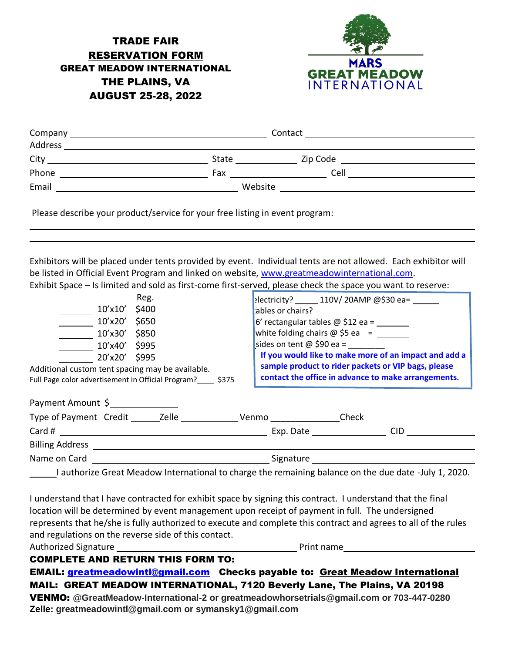## TRADE FAIR RESERVATION FORM GREAT MEADOW INTERNATIONAL THE PLAINS, VA AUGUST 25-28, 2022



| Company | Contact      |          |  |
|---------|--------------|----------|--|
| Address |              |          |  |
| City    | <b>State</b> | Zip Code |  |
| Phone   | Fax          | Cell     |  |
| Email   | Website      |          |  |
|         |              |          |  |

Please describe your product/service for your free listing in event program:

Exhibitors will be placed under tents provided by event. Individual tents are not allowed. Each exhibitor will be listed in Official Event Program and linked on website, [www.greatmeadowinternational.com.](http://www.greatmeadowinternational.com/) Exhibit Space – Is limited and sold as first-come first-served, please check the space you want to reserve:

| Reg.<br>$10^{\prime}$ x $10^{\prime}$<br>\$400<br>$10'$ x $20'$<br>\$650<br>\$850<br>10'x30'<br>10'x40' \$995<br>20'x20' \$995<br>Additional custom tent spacing may be available.                                            | electricity? 110V/20AMP @\$30 ea=<br>ables or chairs?<br>$6'$ rectangular tables $@$ \$12 ea = ________<br>white folding chairs $\omega$ \$5 ea = $\frac{1}{\sqrt{1-\frac{1}{\omega}}}}$<br>sides on tent $\omega$ \$90 ea =<br>If you would like to make more of an impact and add a<br>sample product to rider packets or VIP bags, please<br>contact the office in advance to make arrangements. |
|-------------------------------------------------------------------------------------------------------------------------------------------------------------------------------------------------------------------------------|-----------------------------------------------------------------------------------------------------------------------------------------------------------------------------------------------------------------------------------------------------------------------------------------------------------------------------------------------------------------------------------------------------|
| Full Page color advertisement in Official Program? \$375<br>Payment Amount \$                                                                                                                                                 |                                                                                                                                                                                                                                                                                                                                                                                                     |
| Type of Payment Credit ________ Zelle ___________________Venmo ________________Check                                                                                                                                          |                                                                                                                                                                                                                                                                                                                                                                                                     |
|                                                                                                                                                                                                                               | <b>CID</b><br>Exp. Date the state of the state of the state of the state of the state of the state of the state of the state                                                                                                                                                                                                                                                                        |
| <b>Billing Address Example 2018</b>                                                                                                                                                                                           |                                                                                                                                                                                                                                                                                                                                                                                                     |
| Name on Card and the contract of the contract of the contract of the contract of the contract of the contract of the contract of the contract of the contract of the contract of the contract of the contract of the contract | Signature                                                                                                                                                                                                                                                                                                                                                                                           |

I authorize Great Meadow International to charge the remaining balance on the due date -July 1, 2020.

I understand that I have contracted for exhibit space by signing this contract. I understand that the final location will be determined by event management upon receipt of payment in full. The undersigned represents that he/she is fully authorized to execute and complete this contract and agrees to all of the rules and regulations on the reverse side of this contact.

Authorized Signature **Print is a set of the Contract of Contract Authorized Signature** Print name

COMPLETE AND RETURN THIS FORM TO:

EMAIL: [greatmeadowintl@gmail.com](mailto:greatmeadowintl@gmail.com) Checks payable to: Great Meadow International MAIL: GREAT MEADOW INTERNATIONAL, 7120 Beverly Lane, The Plains, VA 20198 VENMO: **@GreatMeadow-International-2 or greatmeadowhorsetrials@gmail.com or 703-447-0280 Zelle: greatmeadowintl@gmail.com or symansky1@gmail.com**